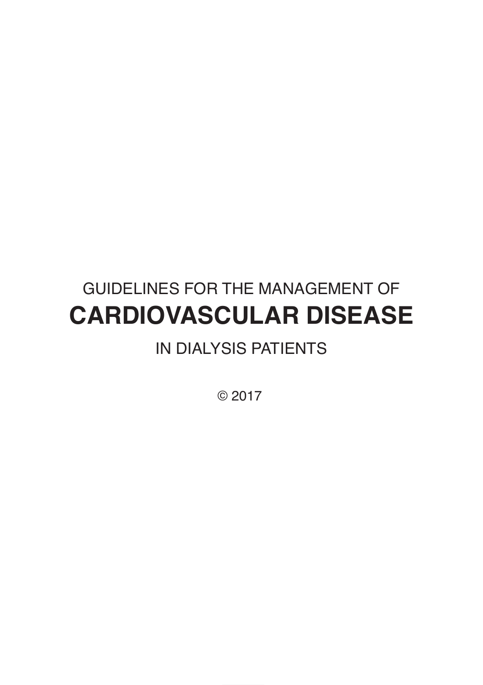# GUIDELINES FOR THE MANAGEMENT OF **CARDIOVASCULAR DISEASE**

# IN DIALYSIS PATIENTS

© 2017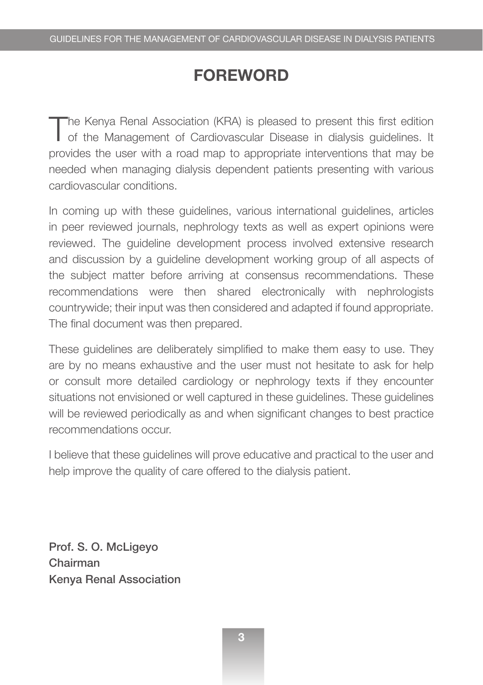#### **FOREWORD**

The Kenya Renal Association (KRA) is pleased to present this first edition<br>of the Management of Cardiovascular Disease in dialysis guidelines. It provides the user with a road map to appropriate interventions that may be needed when managing dialysis dependent patients presenting with various cardiovascular conditions.

In coming up with these guidelines, various international guidelines, articles in peer reviewed journals, nephrology texts as well as expert opinions were reviewed. The guideline development process involved extensive research and discussion by a guideline development working group of all aspects of the subject matter before arriving at consensus recommendations. These recommendations were then shared electronically with nephrologists countrywide; their input was then considered and adapted if found appropriate. The final document was then prepared.

These guidelines are deliberately simplified to make them easy to use. They are by no means exhaustive and the user must not hesitate to ask for help or consult more detailed cardiology or nephrology texts if they encounter situations not envisioned or well captured in these guidelines. These guidelines will be reviewed periodically as and when significant changes to best practice recommendations occur.

I believe that these guidelines will prove educative and practical to the user and help improve the quality of care offered to the dialysis patient.

Prof. S. O. McLigeyo Chairman Kenya Renal Association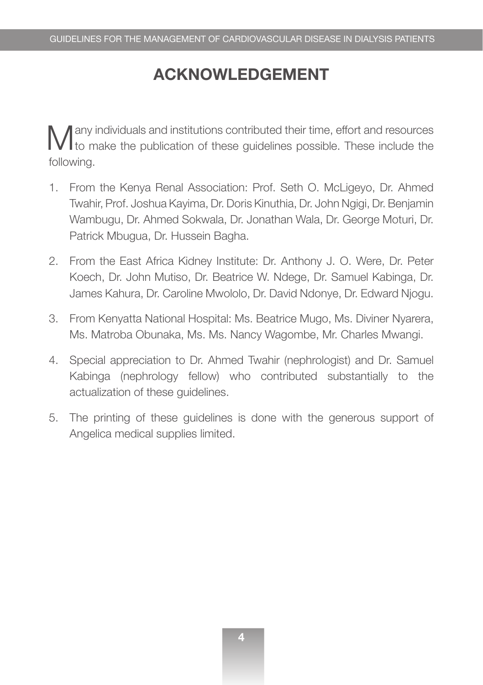### **ACKNOWLEDGEMENT**

Many individuals and institutions contributed their time, effort and resources to make the publication of these guidelines possible. These include the following.

- 1. From the Kenya Renal Association: Prof. Seth O. McLigeyo, Dr. Ahmed Twahir, Prof. Joshua Kayima, Dr. Doris Kinuthia, Dr. John Ngigi, Dr. Benjamin Wambugu, Dr. Ahmed Sokwala, Dr. Jonathan Wala, Dr. George Moturi, Dr. Patrick Mbugua, Dr. Hussein Bagha.
- 2. From the East Africa Kidney Institute: Dr. Anthony J. O. Were, Dr. Peter Koech, Dr. John Mutiso, Dr. Beatrice W. Ndege, Dr. Samuel Kabinga, Dr. James Kahura, Dr. Caroline Mwololo, Dr. David Ndonye, Dr. Edward Njogu.
- 3. From Kenyatta National Hospital: Ms. Beatrice Mugo, Ms. Diviner Nyarera, Ms. Matroba Obunaka, Ms. Ms. Nancy Wagombe, Mr. Charles Mwangi.
- 4. Special appreciation to Dr. Ahmed Twahir (nephrologist) and Dr. Samuel Kabinga (nephrology fellow) who contributed substantially to the actualization of these guidelines.
- 5. The printing of these guidelines is done with the generous support of Angelica medical supplies limited.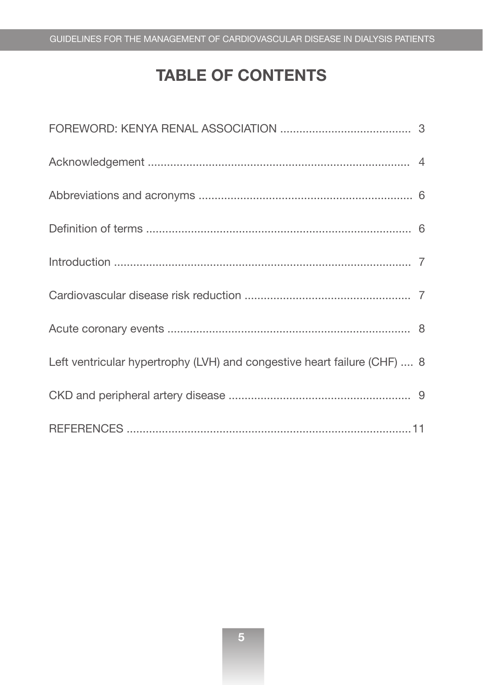# **TABLE OF CONTENTS**

| Left ventricular hypertrophy (LVH) and congestive heart failure (CHF)  8 |  |
|--------------------------------------------------------------------------|--|
|                                                                          |  |
|                                                                          |  |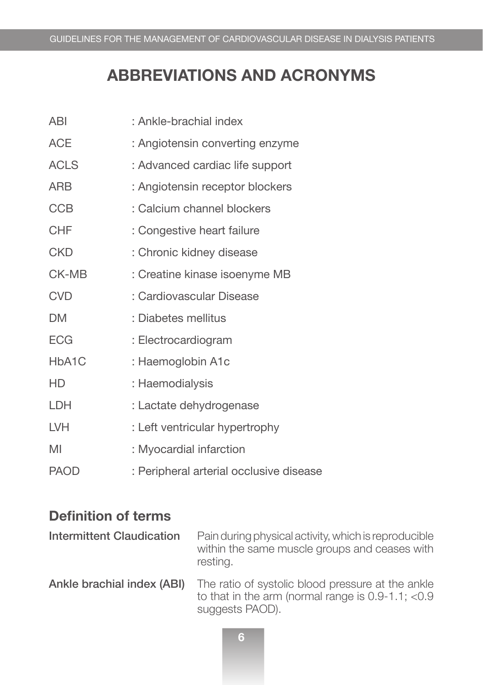### **ABBREVIATIONS AND ACRONYMS**

| ABI                | : Ankle-brachial index                  |
|--------------------|-----------------------------------------|
| <b>ACE</b>         | : Angiotensin converting enzyme         |
| <b>ACLS</b>        | : Advanced cardiac life support         |
| ARB                | : Angiotensin receptor blockers         |
| <b>CCB</b>         | : Calcium channel blockers              |
| <b>CHF</b>         | : Congestive heart failure              |
| <b>CKD</b>         | : Chronic kidney disease                |
| CK-MB              | : Creatine kinase isoenyme MB           |
| <b>CVD</b>         | : Cardiovascular Disease                |
| <b>DM</b>          | : Diabetes mellitus                     |
| <b>ECG</b>         | : Electrocardiogram                     |
| HbA <sub>1</sub> C | : Haemoglobin A1c                       |
| HD                 | : Haemodialysis                         |
| LDH                | : Lactate dehydrogenase                 |
| <b>LVH</b>         | : Left ventricular hypertrophy          |
| MI                 | : Myocardial infarction                 |
| <b>PAOD</b>        | : Peripheral arterial occlusive disease |

#### **Definition of terms**

| <b>Intermittent Claudication</b> | Pain during physical activity, which is reproducible<br>within the same muscle groups and ceases with<br>resting.               |
|----------------------------------|---------------------------------------------------------------------------------------------------------------------------------|
| Ankle brachial index (ABI)       | The ratio of systolic blood pressure at the ankle<br>to that in the arm (normal range is $0.9-1.1$ ; $< 0.9$<br>suggests PAOD). |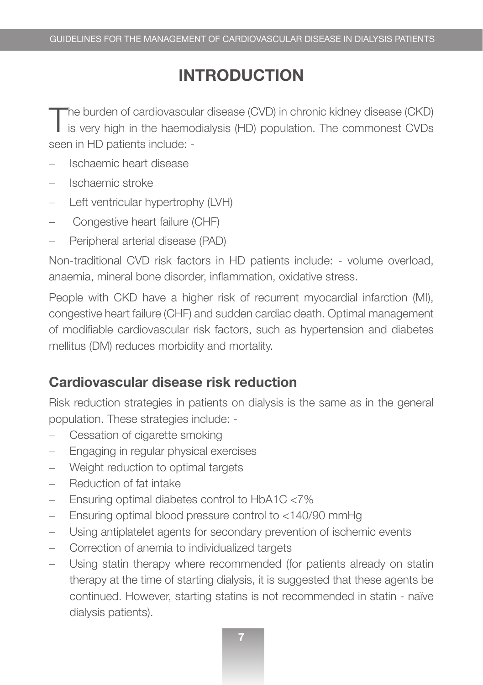### **INTRODUCTION**

The burden of cardiovascular disease (CVD) in chronic kidney disease (CKD) is very high in the haemodialysis (HD) population. The commonest CVDs seen in HD patients include: -

- − Ischaemic heart disease
- − Ischaemic stroke
- − Left ventricular hypertrophy (LVH)
- − Congestive heart failure (CHF)
- Peripheral arterial disease (PAD)

Non-traditional CVD risk factors in HD patients include: - volume overload, anaemia, mineral bone disorder, inflammation, oxidative stress.

People with CKD have a higher risk of recurrent myocardial infarction (MI), congestive heart failure (CHF) and sudden cardiac death. Optimal management of modifiable cardiovascular risk factors, such as hypertension and diabetes mellitus (DM) reduces morbidity and mortality.

#### **Cardiovascular disease risk reduction**

Risk reduction strategies in patients on dialysis is the same as in the general population. These strategies include: -

- − Cessation of cigarette smoking
- − Engaging in regular physical exercises
- − Weight reduction to optimal targets
- Reduction of fat intake
- − Ensuring optimal diabetes control to HbA1C <7%
- − Ensuring optimal blood pressure control to <140/90 mmHg
- − Using antiplatelet agents for secondary prevention of ischemic events
- Correction of anemia to individualized targets
- Using statin therapy where recommended (for patients already on statin therapy at the time of starting dialysis, it is suggested that these agents be continued. However, starting statins is not recommended in statin - naïve dialysis patients).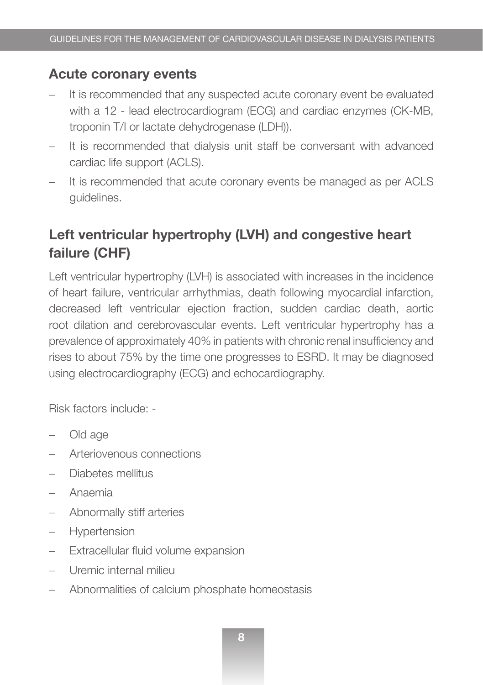#### **Acute coronary events**

- It is recommended that any suspected acute coronary event be evaluated with a 12 - lead electrocardiogram (ECG) and cardiac enzymes (CK-MB, troponin T/I or lactate dehydrogenase (LDH)).
- It is recommended that dialysis unit staff be conversant with advanced cardiac life support (ACLS).
- It is recommended that acute coronary events be managed as per ACLS guidelines.

#### **Left ventricular hypertrophy (LVH) and congestive heart failure (CHF)**

Left ventricular hypertrophy (LVH) is associated with increases in the incidence of heart failure, ventricular arrhythmias, death following myocardial infarction, decreased left ventricular ejection fraction, sudden cardiac death, aortic root dilation and cerebrovascular events. Left ventricular hypertrophy has a prevalence of approximately 40% in patients with chronic renal insufficiency and rises to about 75% by the time one progresses to ESRD. It may be diagnosed using electrocardiography (ECG) and echocardiography.

Risk factors include: -

- Old age
- − Arteriovenous connections
- − Diabetes mellitus
- − Anaemia
- − Abnormally stiff arteries
- − Hypertension
- − Extracellular fluid volume expansion
- − Uremic internal milieu
- − Abnormalities of calcium phosphate homeostasis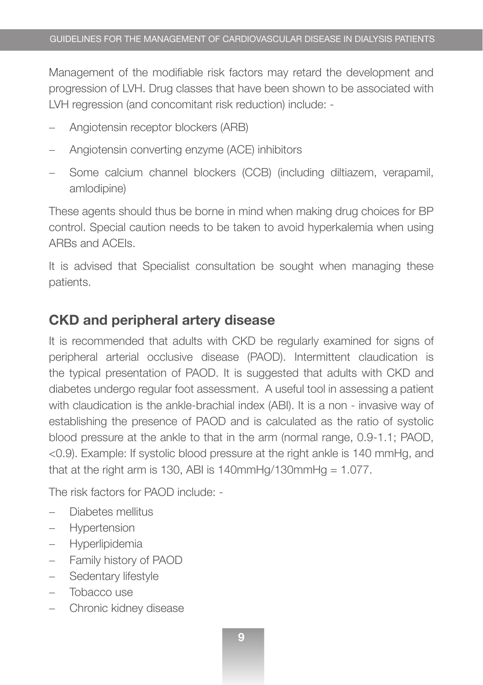Management of the modifiable risk factors may retard the development and progression of LVH. Drug classes that have been shown to be associated with LVH regression (and concomitant risk reduction) include: -

- − Angiotensin receptor blockers (ARB)
- − Angiotensin converting enzyme (ACE) inhibitors
- Some calcium channel blockers (CCB) (including diltiazem, verapamil, amlodipine)

These agents should thus be borne in mind when making drug choices for BP control. Special caution needs to be taken to avoid hyperkalemia when using ARBs and ACEIs.

It is advised that Specialist consultation be sought when managing these patients.

#### **CKD and peripheral artery disease**

It is recommended that adults with CKD be regularly examined for signs of peripheral arterial occlusive disease (PAOD). Intermittent claudication is the typical presentation of PAOD. It is suggested that adults with CKD and diabetes undergo regular foot assessment. A useful tool in assessing a patient with claudication is the ankle-brachial index (ABI). It is a non - invasive way of establishing the presence of PAOD and is calculated as the ratio of systolic blood pressure at the ankle to that in the arm (normal range, 0.9-1.1; PAOD, <0.9). Example: If systolic blood pressure at the right ankle is 140 mmHg, and that at the right arm is 130, ABI is 140mmHg/130mmHg =  $1.077$ .

The risk factors for PAOD include: -

- Diabetes mellitus
- − Hypertension
- − Hyperlipidemia
- − Family history of PAOD
- Sedentary lifestyle
- − Tobacco use
- − Chronic kidney disease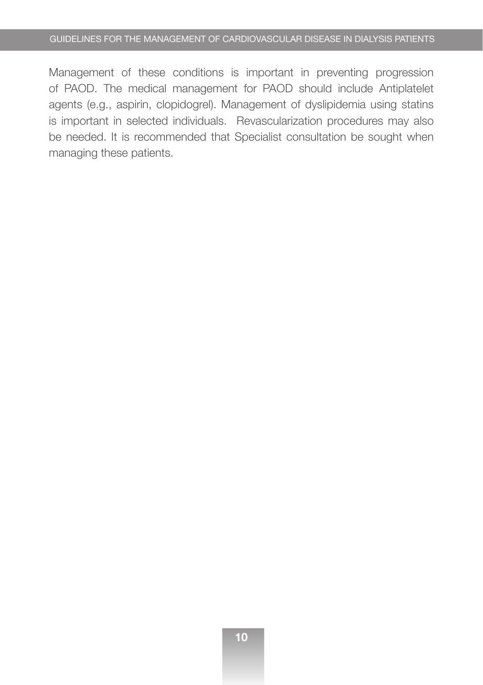Management of these conditions is important in preventing progression of PAOD. The medical management for PAOD should include Antiplatelet agents (e.g., aspirin, clopidogrel). Management of dyslipidemia using statins is important in selected individuals. Revascularization procedures may also be needed. It is recommended that Specialist consultation be sought when managing these patients.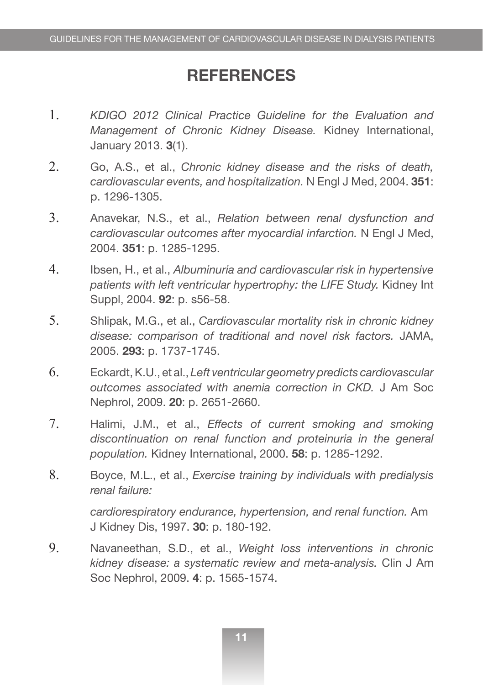#### **REFERENCES**

- 1. *KDIGO 2012 Clinical Practice Guideline for the Evaluation and Management of Chronic Kidney Disease.* Kidney International, January 2013. **3**(1).
- 2. Go, A.S., et al., *Chronic kidney disease and the risks of death, cardiovascular events, and hospitalization.* N Engl J Med, 2004. **351**: p. 1296-1305.
- 3. Anavekar, N.S., et al., *Relation between renal dysfunction and cardiovascular outcomes after myocardial infarction.* N Engl J Med, 2004. **351**: p. 1285-1295.
- 4. Ibsen, H., et al., *Albuminuria and cardiovascular risk in hypertensive patients with left ventricular hypertrophy: the LIFE Study.* Kidney Int Suppl, 2004. **92**: p. s56-58.
- 5. Shlipak, M.G., et al., *Cardiovascular mortality risk in chronic kidney disease: comparison of traditional and novel risk factors.* JAMA, 2005. **293**: p. 1737-1745.
- 6. Eckardt, K.U., et al., *Left ventricular geometry predicts cardiovascular outcomes associated with anemia correction in CKD.* J Am Soc Nephrol, 2009. **20**: p. 2651-2660.
- 7. Halimi, J.M., et al., *Effects of current smoking and smoking discontinuation on renal function and proteinuria in the general population.* Kidney International, 2000. **58**: p. 1285-1292.
- 8. Boyce, M.L., et al., *Exercise training by individuals with predialysis renal failure:*

*cardiorespiratory endurance, hypertension, and renal function.* Am J Kidney Dis, 1997. **30**: p. 180-192.

9. Navaneethan, S.D., et al., *Weight loss interventions in chronic kidney disease: a systematic review and meta-analysis.* Clin J Am Soc Nephrol, 2009. **4**: p. 1565-1574.